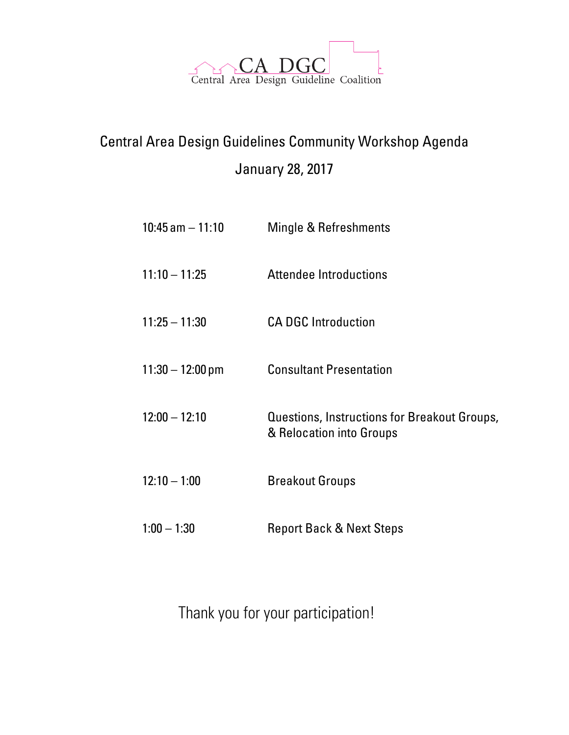

## Central Area Design Guidelines Community Workshop Agenda January 28, 2017

- 10:45 am 11:10 Mingle & Refreshments
- 11:10 11:25 Attendee Introductions
- 11:25 11:30 CA DGC Introduction
- 11:30 12:00 pm Consultant Presentation
- 12:00 12:10 Questions, Instructions for Breakout Groups, & Relocation into Groups
- 12:10 1:00 Breakout Groups
- 1:00 1:30 Report Back & Next Steps

Thank you for your participation!